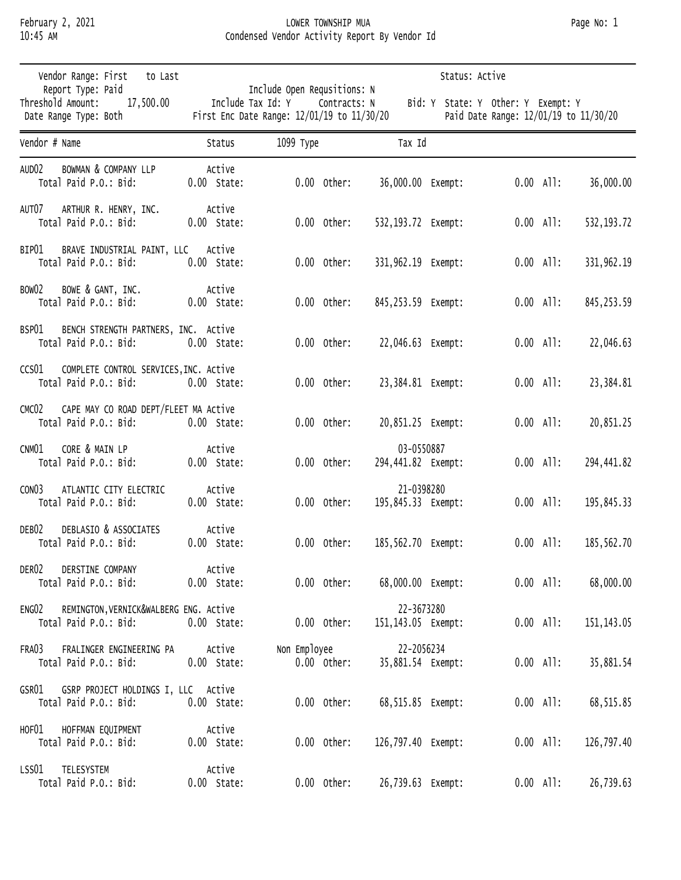## February 2, 2021 LOWER TOWNSHIP MUA Page No: 1 10:45 AM Condensed Vendor Activity Report By Vendor Id

| Vendor Range: First<br>to Last |                                                                              |                         |                                                                                                |               |                                    | Status: Active |             |                                       |              |
|--------------------------------|------------------------------------------------------------------------------|-------------------------|------------------------------------------------------------------------------------------------|---------------|------------------------------------|----------------|-------------|---------------------------------------|--------------|
|                                | Report Type: Paid<br>Threshold Amount:<br>17,500.00<br>Date Range Type: Both |                         | Include Open Requsitions: N<br>Include Tax Id: Y<br>First Enc Date Range: 12/01/19 to 11/30/20 | Contracts: N  | Bid: Y State: Y Other: Y Exempt: Y |                |             | Paid Date Range: 12/01/19 to 11/30/20 |              |
| Vendor # Name                  |                                                                              | Status                  | 1099 Туре                                                                                      |               | Tax Id                             |                |             |                                       |              |
| AUD <sub>02</sub>              | <b>BOWMAN &amp; COMPANY LLP</b><br>Total Paid P.O.: Bid:                     | Active<br>$0.00$ State: |                                                                                                | $0.00$ Other: | 36,000.00 Exempt:                  |                |             | $0.00$ All:                           | 36,000.00    |
| AUT07                          | ARTHUR R. HENRY, INC.<br>Total Paid P.O.: Bid:                               | Active<br>$0.00$ State: |                                                                                                | $0.00$ Other: | 532,193.72 Exempt:                 |                |             | $0.00$ All:                           | 532, 193. 72 |
| BIPO1                          | BRAVE INDUSTRIAL PAINT, LLC<br>Total Paid P.O.: Bid:                         | Active<br>$0.00$ State: |                                                                                                | $0.00$ Other: | 331,962.19 Exempt:                 |                |             | $0.00$ All:                           | 331,962.19   |
| BOW02                          | BOWE & GANT, INC.<br>Total Paid P.O.: Bid:                                   | Active<br>$0.00$ State: |                                                                                                | $0.00$ Other: | 845,253.59 Exempt:                 |                |             | $0.00$ All:                           | 845, 253.59  |
| BSP01                          | BENCH STRENGTH PARTNERS, INC. Active<br>Total Paid P.O.: Bid:                | $0.00$ State:           |                                                                                                | $0.00$ Other: | 22,046.63 Exempt:                  |                | $0.00$ All: |                                       | 22,046.63    |
| CCS01                          | COMPLETE CONTROL SERVICES, INC. Active<br>Total Paid P.O.: Bid:              | $0.00$ State:           |                                                                                                | $0.00$ Other: | 23,384.81 Exempt:                  |                |             | $0.00$ All:                           | 23,384.81    |
| CMCO2                          | CAPE MAY CO ROAD DEPT/FLEET MA Active<br>Total Paid P.O.: Bid:               | $0.00$ State:           |                                                                                                | $0.00$ Other: | 20,851.25 Exempt:                  |                |             | $0.00$ All:                           | 20,851.25    |
| CNM01                          | CORE & MAIN LP<br>Total Paid P.O.: Bid:                                      | Active<br>$0.00$ State: |                                                                                                | $0.00$ Other: | 03-0550887<br>294,441.82 Exempt:   |                |             | $0.00$ All:                           | 294,441.82   |
| CONO3                          | ATLANTIC CITY ELECTRIC<br>Total Paid P.O.: Bid:                              | Active<br>$0.00$ State: |                                                                                                | $0.00$ Other: | 21-0398280<br>195,845.33 Exempt:   |                |             | $0.00$ All:                           | 195,845.33   |
| DEB02                          | DEBLASIO & ASSOCIATES<br>Total Paid P.O.: Bid:                               | Active<br>$0.00$ State: |                                                                                                | $0.00$ Other: | 185,562.70 Exempt:                 |                |             | $0.00$ All:                           | 185,562.70   |
| DER02                          | DERSTINE COMPANY<br>Total Paid P.O.: Bid:                                    | Active<br>$0.00$ State: |                                                                                                | $0.00$ Other: | 68,000.00 Exempt:                  |                |             | $0.00$ All:                           | 68,000.00    |
| ENGO2                          | REMINGTON, VERNICK&WALBERG ENG. Active<br>Total Paid P.O.: Bid:              | $0.00$ State:           |                                                                                                | $0.00$ Other: | 22-3673280<br>151,143.05 Exempt:   |                |             | $0.00$ All:                           | 151, 143.05  |
| FRA03                          | FRALINGER ENGINEERING PA<br>Total Paid P.O.: Bid:                            | Active<br>$0.00$ State: | Non Employee                                                                                   | $0.00$ Other: | 22-2056234<br>35,881.54 Exempt:    |                |             | $0.00$ All:                           | 35,881.54    |
| GSR01                          | GSRP PROJECT HOLDINGS I, LLC Active<br>Total Paid P.O.: Bid:                 | $0.00$ State:           |                                                                                                | $0.00$ Other: | 68,515.85 Exempt:                  |                |             | $0.00$ All:                           | 68,515.85    |
| HOF01                          | HOFFMAN EQUIPMENT<br>Total Paid P.O.: Bid:                                   | Active<br>$0.00$ State: |                                                                                                | $0.00$ Other: | 126,797.40 Exempt:                 |                | $0.00$ All: |                                       | 126,797.40   |
| LSS01                          | TELESYSTEM<br>Total Paid P.O.: Bid:                                          | Active<br>$0.00$ State: |                                                                                                | $0.00$ Other: | 26,739.63 Exempt:                  |                |             | $0.00$ All:                           | 26,739.63    |